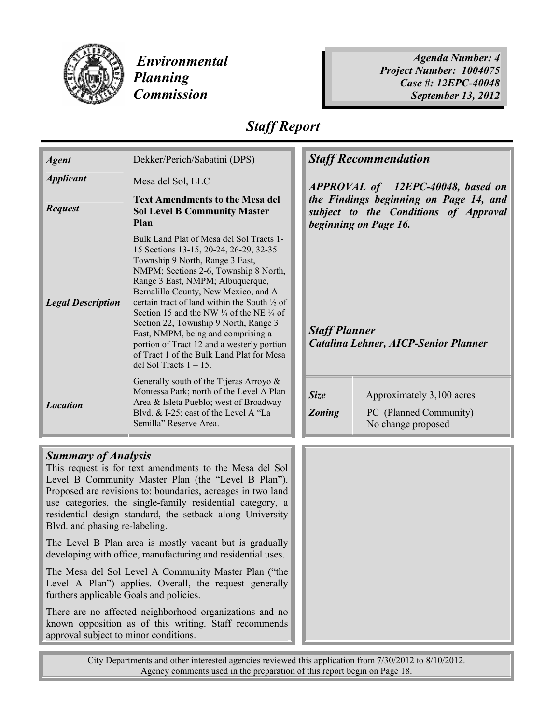

 Environmental Planning Commission

Agenda Number: 4 Project Number: 1004075 Case #: 12EPC-40048 September 13, 2012

## Staff Report

| <b>Agent</b>               | Dekker/Perich/Sabatini (DPS)                                                                                                                                                                                                                                                                                                                                                                                                                                                                                                                                         | <b>Staff Recommendation</b>                                                                              |                                                                           |
|----------------------------|----------------------------------------------------------------------------------------------------------------------------------------------------------------------------------------------------------------------------------------------------------------------------------------------------------------------------------------------------------------------------------------------------------------------------------------------------------------------------------------------------------------------------------------------------------------------|----------------------------------------------------------------------------------------------------------|---------------------------------------------------------------------------|
| <b>Applicant</b>           | Mesa del Sol, LLC                                                                                                                                                                                                                                                                                                                                                                                                                                                                                                                                                    |                                                                                                          | APPROVAL of 12EPC-40048, based on                                         |
| <b>Request</b>             | <b>Text Amendments to the Mesa del</b><br><b>Sol Level B Community Master</b><br>Plan                                                                                                                                                                                                                                                                                                                                                                                                                                                                                | the Findings beginning on Page 14, and<br>subject to the Conditions of Approval<br>beginning on Page 16. |                                                                           |
| <b>Legal Description</b>   | Bulk Land Plat of Mesa del Sol Tracts 1-<br>15 Sections 13-15, 20-24, 26-29, 32-35<br>Township 9 North, Range 3 East,<br>NMPM; Sections 2-6, Township 8 North,<br>Range 3 East, NMPM; Albuquerque,<br>Bernalillo County, New Mexico, and A<br>certain tract of land within the South 1/2 of<br>Section 15 and the NW $\frac{1}{4}$ of the NE $\frac{1}{4}$ of<br>Section 22, Township 9 North, Range 3<br>East, NMPM, being and comprising a<br>portion of Tract 12 and a westerly portion<br>of Tract 1 of the Bulk Land Plat for Mesa<br>del Sol Tracts $1 - 15$ . | <b>Staff Planner</b>                                                                                     | Catalina Lehner, AICP-Senior Planner                                      |
| <b>Location</b>            | Generally south of the Tijeras Arroyo &<br>Montessa Park; north of the Level A Plan<br>Area & Isleta Pueblo; west of Broadway<br>Blvd. & I-25; east of the Level A "La<br>Semilla" Reserve Area.                                                                                                                                                                                                                                                                                                                                                                     | Size<br><b>Zoning</b>                                                                                    | Approximately 3,100 acres<br>PC (Planned Community)<br>No change proposed |
|                            |                                                                                                                                                                                                                                                                                                                                                                                                                                                                                                                                                                      |                                                                                                          |                                                                           |
| <b>Summary of Analysis</b> | This request is for text amendments to the Mesa del Sol                                                                                                                                                                                                                                                                                                                                                                                                                                                                                                              |                                                                                                          |                                                                           |
|                            | Level B Community Master Plan (the "Level B Plan").                                                                                                                                                                                                                                                                                                                                                                                                                                                                                                                  |                                                                                                          |                                                                           |

Level B Community Master Plan (the "Level B Plan"). Proposed are revisions to: boundaries, acreages in two land use categories, the single-family residential category, a residential design standard, the setback along University Blvd. and phasing re-labeling.

The Level B Plan area is mostly vacant but is gradually developing with office, manufacturing and residential uses.

The Mesa del Sol Level A Community Master Plan ("the Level A Plan") applies. Overall, the request generally furthers applicable Goals and policies.

There are no affected neighborhood organizations and no known opposition as of this writing. Staff recommends approval subject to minor conditions.

City Departments and other interested agencies reviewed this application from 7/30/2012 to 8/10/2012. Agency comments used in the preparation of this report begin on Page 18.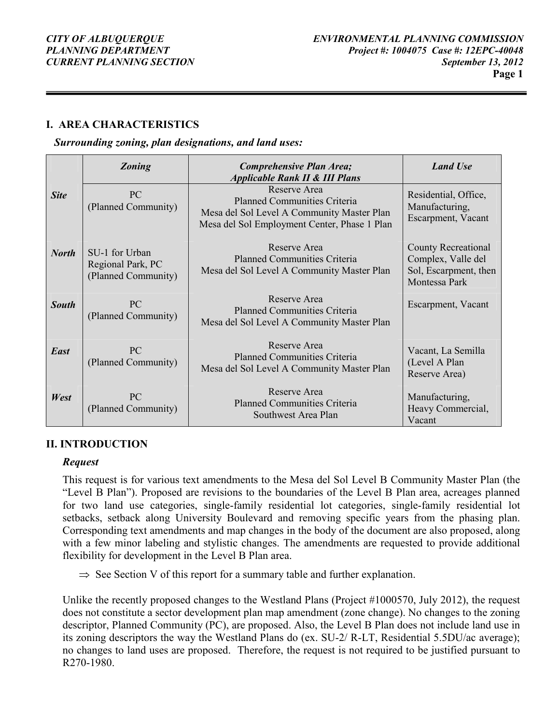#### I. AREA CHARACTERISTICS

#### Surrounding zoning, plan designations, and land uses:

|              | <b>Zoning</b>                                              | Comprehensive Plan Area;<br><b>Applicable Rank II &amp; III Plans</b>                                                                             | <b>Land Use</b>                                                                     |
|--------------|------------------------------------------------------------|---------------------------------------------------------------------------------------------------------------------------------------------------|-------------------------------------------------------------------------------------|
| <b>Site</b>  | PC<br>(Planned Community)                                  | Reserve Area<br><b>Planned Communities Criteria</b><br>Mesa del Sol Level A Community Master Plan<br>Mesa del Sol Employment Center, Phase 1 Plan | Residential, Office,<br>Manufacturing,<br>Escarpment, Vacant                        |
| <b>North</b> | SU-1 for Urban<br>Regional Park, PC<br>(Planned Community) | Reserve Area<br><b>Planned Communities Criteria</b><br>Mesa del Sol Level A Community Master Plan                                                 | County Recreational<br>Complex, Valle del<br>Sol, Escarpment, then<br>Montessa Park |
| <b>South</b> | <b>PC</b><br>(Planned Community)                           | Reserve Area<br><b>Planned Communities Criteria</b><br>Mesa del Sol Level A Community Master Plan                                                 | Escarpment, Vacant                                                                  |
| East         | PC<br>(Planned Community)                                  | Reserve Area<br><b>Planned Communities Criteria</b><br>Mesa del Sol Level A Community Master Plan                                                 | Vacant, La Semilla<br>(Level A Plan<br>Reserve Area)                                |
| West         | PC<br>(Planned Community)                                  | Reserve Area<br><b>Planned Communities Criteria</b><br>Southwest Area Plan                                                                        | Manufacturing,<br>Heavy Commercial,<br>Vacant                                       |

#### II. INTRODUCTION

#### Request

This request is for various text amendments to the Mesa del Sol Level B Community Master Plan (the "Level B Plan"). Proposed are revisions to the boundaries of the Level B Plan area, acreages planned for two land use categories, single-family residential lot categories, single-family residential lot setbacks, setback along University Boulevard and removing specific years from the phasing plan. Corresponding text amendments and map changes in the body of the document are also proposed, along with a few minor labeling and stylistic changes. The amendments are requested to provide additional flexibility for development in the Level B Plan area.

 $\Rightarrow$  See Section V of this report for a summary table and further explanation.

Unlike the recently proposed changes to the Westland Plans (Project #1000570, July 2012), the request does not constitute a sector development plan map amendment (zone change). No changes to the zoning descriptor, Planned Community (PC), are proposed. Also, the Level B Plan does not include land use in its zoning descriptors the way the Westland Plans do (ex. SU-2/ R-LT, Residential 5.5DU/ac average); no changes to land uses are proposed. Therefore, the request is not required to be justified pursuant to R270-1980.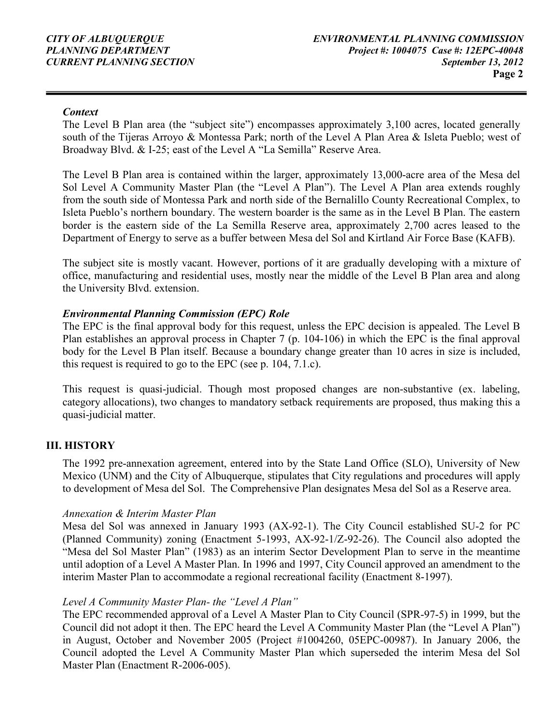#### **Context**

The Level B Plan area (the "subject site") encompasses approximately 3,100 acres, located generally south of the Tijeras Arroyo & Montessa Park; north of the Level A Plan Area & Isleta Pueblo; west of Broadway Blvd. & I-25; east of the Level A "La Semilla" Reserve Area.

The Level B Plan area is contained within the larger, approximately 13,000-acre area of the Mesa del Sol Level A Community Master Plan (the "Level A Plan"). The Level A Plan area extends roughly from the south side of Montessa Park and north side of the Bernalillo County Recreational Complex, to Isleta Pueblo's northern boundary. The western boarder is the same as in the Level B Plan. The eastern border is the eastern side of the La Semilla Reserve area, approximately 2,700 acres leased to the Department of Energy to serve as a buffer between Mesa del Sol and Kirtland Air Force Base (KAFB).

The subject site is mostly vacant. However, portions of it are gradually developing with a mixture of office, manufacturing and residential uses, mostly near the middle of the Level B Plan area and along the University Blvd. extension.

#### Environmental Planning Commission (EPC) Role

The EPC is the final approval body for this request, unless the EPC decision is appealed. The Level B Plan establishes an approval process in Chapter 7 (p. 104-106) in which the EPC is the final approval body for the Level B Plan itself. Because a boundary change greater than 10 acres in size is included, this request is required to go to the EPC (see p. 104, 7.1.c).

This request is quasi-judicial. Though most proposed changes are non-substantive (ex. labeling, category allocations), two changes to mandatory setback requirements are proposed, thus making this a quasi-judicial matter.

#### III. HISTORY

The 1992 pre-annexation agreement, entered into by the State Land Office (SLO), University of New Mexico (UNM) and the City of Albuquerque, stipulates that City regulations and procedures will apply to development of Mesa del Sol. The Comprehensive Plan designates Mesa del Sol as a Reserve area.

#### Annexation & Interim Master Plan

Mesa del Sol was annexed in January 1993 (AX-92-1). The City Council established SU-2 for PC (Planned Community) zoning (Enactment 5-1993, AX-92-1/Z-92-26). The Council also adopted the "Mesa del Sol Master Plan" (1983) as an interim Sector Development Plan to serve in the meantime until adoption of a Level A Master Plan. In 1996 and 1997, City Council approved an amendment to the interim Master Plan to accommodate a regional recreational facility (Enactment 8-1997).

#### Level A Community Master Plan- the "Level A Plan"

The EPC recommended approval of a Level A Master Plan to City Council (SPR-97-5) in 1999, but the Council did not adopt it then. The EPC heard the Level A Community Master Plan (the "Level A Plan") in August, October and November 2005 (Project #1004260, 05EPC-00987). In January 2006, the Council adopted the Level A Community Master Plan which superseded the interim Mesa del Sol Master Plan (Enactment R-2006-005).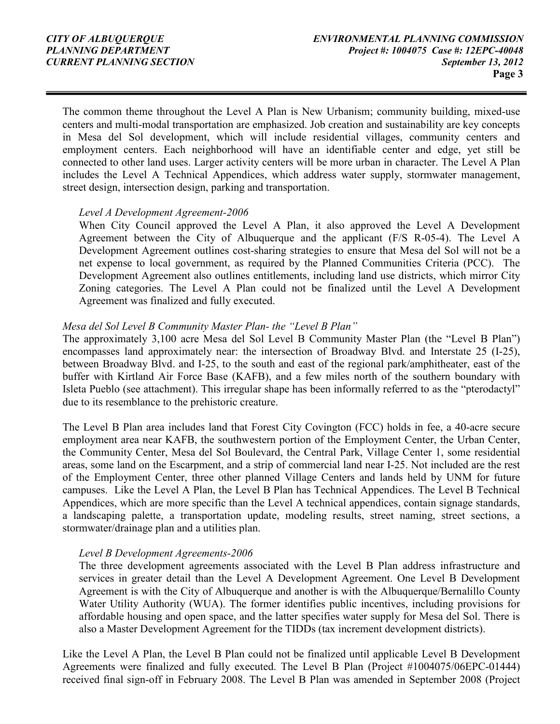The common theme throughout the Level A Plan is New Urbanism; community building, mixed-use centers and multi-modal transportation are emphasized. Job creation and sustainability are key concepts in Mesa del Sol development, which will include residential villages, community centers and employment centers. Each neighborhood will have an identifiable center and edge, yet still be connected to other land uses. Larger activity centers will be more urban in character. The Level A Plan includes the Level A Technical Appendices, which address water supply, stormwater management, street design, intersection design, parking and transportation.

#### Level A Development Agreement-2006

When City Council approved the Level A Plan, it also approved the Level A Development Agreement between the City of Albuquerque and the applicant (F/S R-05-4). The Level A Development Agreement outlines cost-sharing strategies to ensure that Mesa del Sol will not be a net expense to local government, as required by the Planned Communities Criteria (PCC). The Development Agreement also outlines entitlements, including land use districts, which mirror City Zoning categories. The Level A Plan could not be finalized until the Level A Development Agreement was finalized and fully executed.

#### Mesa del Sol Level B Community Master Plan- the "Level B Plan"

The approximately 3,100 acre Mesa del Sol Level B Community Master Plan (the "Level B Plan") encompasses land approximately near: the intersection of Broadway Blvd. and Interstate 25 (I-25), between Broadway Blvd. and I-25, to the south and east of the regional park/amphitheater, east of the buffer with Kirtland Air Force Base (KAFB), and a few miles north of the southern boundary with Isleta Pueblo (see attachment). This irregular shape has been informally referred to as the "pterodactyl" due to its resemblance to the prehistoric creature.

The Level B Plan area includes land that Forest City Covington (FCC) holds in fee, a 40-acre secure employment area near KAFB, the southwestern portion of the Employment Center, the Urban Center, the Community Center, Mesa del Sol Boulevard, the Central Park, Village Center 1, some residential areas, some land on the Escarpment, and a strip of commercial land near I-25. Not included are the rest of the Employment Center, three other planned Village Centers and lands held by UNM for future campuses. Like the Level A Plan, the Level B Plan has Technical Appendices. The Level B Technical Appendices, which are more specific than the Level A technical appendices, contain signage standards, a landscaping palette, a transportation update, modeling results, street naming, street sections, a stormwater/drainage plan and a utilities plan.

#### Level B Development Agreements-2006

The three development agreements associated with the Level B Plan address infrastructure and services in greater detail than the Level A Development Agreement. One Level B Development Agreement is with the City of Albuquerque and another is with the Albuquerque/Bernalillo County Water Utility Authority (WUA). The former identifies public incentives, including provisions for affordable housing and open space, and the latter specifies water supply for Mesa del Sol. There is also a Master Development Agreement for the TIDDs (tax increment development districts).

Like the Level A Plan, the Level B Plan could not be finalized until applicable Level B Development Agreements were finalized and fully executed. The Level B Plan (Project #1004075/06EPC-01444) received final sign-off in February 2008. The Level B Plan was amended in September 2008 (Project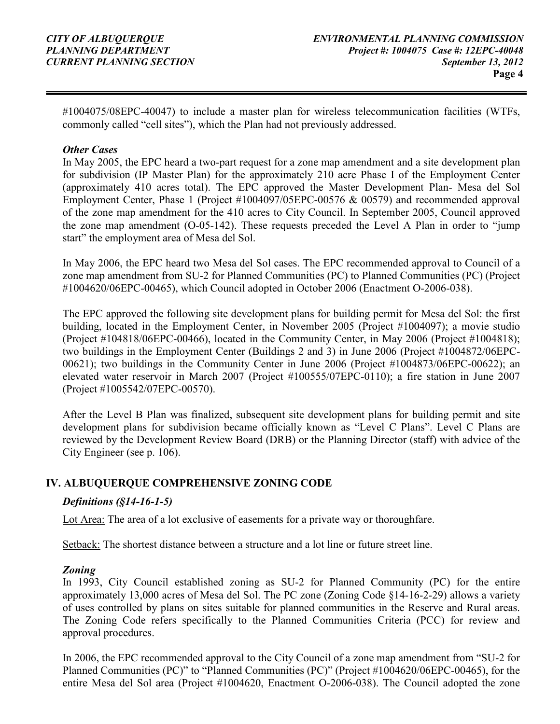#1004075/08EPC-40047) to include a master plan for wireless telecommunication facilities (WTFs, commonly called "cell sites"), which the Plan had not previously addressed.

#### **Other Cases**

In May 2005, the EPC heard a two-part request for a zone map amendment and a site development plan for subdivision (IP Master Plan) for the approximately 210 acre Phase I of the Employment Center (approximately 410 acres total). The EPC approved the Master Development Plan- Mesa del Sol Employment Center, Phase 1 (Project #1004097/05EPC-00576 & 00579) and recommended approval of the zone map amendment for the 410 acres to City Council. In September 2005, Council approved the zone map amendment (O-05-142). These requests preceded the Level A Plan in order to "jump start" the employment area of Mesa del Sol.

In May 2006, the EPC heard two Mesa del Sol cases. The EPC recommended approval to Council of a zone map amendment from SU-2 for Planned Communities (PC) to Planned Communities (PC) (Project #1004620/06EPC-00465), which Council adopted in October 2006 (Enactment O-2006-038).

The EPC approved the following site development plans for building permit for Mesa del Sol: the first building, located in the Employment Center, in November 2005 (Project #1004097); a movie studio (Project #104818/06EPC-00466), located in the Community Center, in May 2006 (Project #1004818); two buildings in the Employment Center (Buildings 2 and 3) in June 2006 (Project #1004872/06EPC-00621); two buildings in the Community Center in June 2006 (Project #1004873/06EPC-00622); an elevated water reservoir in March 2007 (Project #100555/07EPC-0110); a fire station in June 2007 (Project #1005542/07EPC-00570).

After the Level B Plan was finalized, subsequent site development plans for building permit and site development plans for subdivision became officially known as "Level C Plans". Level C Plans are reviewed by the Development Review Board (DRB) or the Planning Director (staff) with advice of the City Engineer (see p. 106).

#### IV. ALBUQUERQUE COMPREHENSIVE ZONING CODE

#### Definitions (§14-16-1-5)

Lot Area: The area of a lot exclusive of easements for a private way or thoroughfare.

Setback: The shortest distance between a structure and a lot line or future street line.

#### Zoning

In 1993, City Council established zoning as SU-2 for Planned Community (PC) for the entire approximately 13,000 acres of Mesa del Sol. The PC zone (Zoning Code §14-16-2-29) allows a variety of uses controlled by plans on sites suitable for planned communities in the Reserve and Rural areas. The Zoning Code refers specifically to the Planned Communities Criteria (PCC) for review and approval procedures.

In 2006, the EPC recommended approval to the City Council of a zone map amendment from "SU-2 for Planned Communities (PC)" to "Planned Communities (PC)" (Project #1004620/06EPC-00465), for the entire Mesa del Sol area (Project #1004620, Enactment O-2006-038). The Council adopted the zone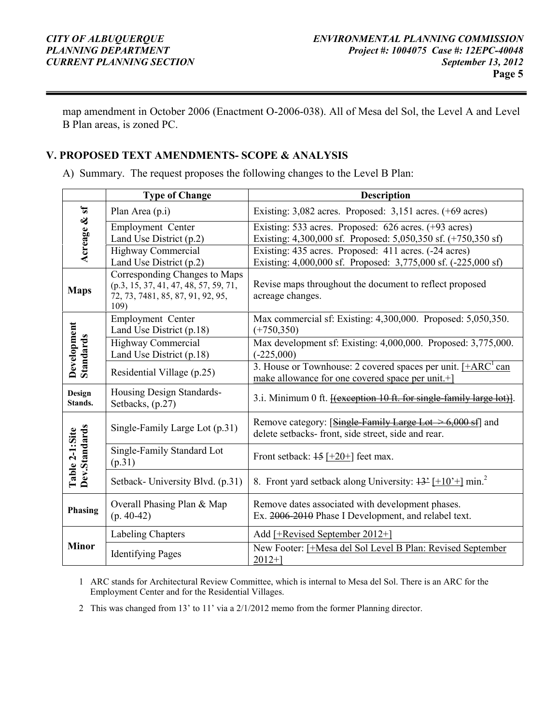map amendment in October 2006 (Enactment O-2006-038). All of Mesa del Sol, the Level A and Level B Plan areas, is zoned PC.

#### V. PROPOSED TEXT AMENDMENTS- SCOPE & ANALYSIS

A) Summary. The request proposes the following changes to the Level B Plan:

|                                 | <b>Type of Change</b>                                                                                               | <b>Description</b>                                                                                                                       |  |  |
|---------------------------------|---------------------------------------------------------------------------------------------------------------------|------------------------------------------------------------------------------------------------------------------------------------------|--|--|
| $\mathbf{a}$                    | Plan Area (p.i)                                                                                                     | Existing: $3,082$ acres. Proposed: $3,151$ acres. $(+69$ acres)                                                                          |  |  |
| Acreage &                       | Employment Center<br>Land Use District (p.2)                                                                        | Existing: 533 acres. Proposed: 626 acres. (+93 acres)<br>Existing: 4,300,000 sf. Proposed: 5,050,350 sf. (+750,350 sf)                   |  |  |
|                                 | <b>Highway Commercial</b><br>Land Use District $(p.2)$                                                              | Existing: 435 acres. Proposed: 411 acres. (-24 acres)<br>Existing: 4,000,000 sf. Proposed: 3,775,000 sf. (-225,000 sf)                   |  |  |
| <b>Maps</b>                     | Corresponding Changes to Maps<br>(p.3, 15, 37, 41, 47, 48, 57, 59, 71,<br>72, 73, 7481, 85, 87, 91, 92, 95,<br>109) | Revise maps throughout the document to reflect proposed<br>acreage changes.                                                              |  |  |
|                                 | Employment Center<br>Land Use District (p.18)                                                                       | Max commercial sf: Existing: 4,300,000. Proposed: 5,050,350.<br>$(+750,350)$                                                             |  |  |
| Development<br><b>Standards</b> | Highway Commercial<br>Land Use District (p.18)                                                                      | Max development sf: Existing: 4,000,000. Proposed: 3,775,000.<br>$(-225,000)$                                                            |  |  |
|                                 | Residential Village (p.25)                                                                                          | 3. House or Townhouse: 2 covered spaces per unit. $[+ARC^{\dagger}$ can<br>make allowance for one covered space per unit. <sup>+</sup> ] |  |  |
| Design<br>Stands.               | Housing Design Standards-<br>Setbacks, (p.27)                                                                       | 3.i. Minimum 0 ft. <b>Hexception 10 ft. for single-family large lot</b> ).                                                               |  |  |
|                                 | Single-Family Large Lot (p.31)                                                                                      | Remove category: [Single-Family Large Lot $\geq 6,000$ sf] and<br>delete setbacks- front, side street, side and rear.                    |  |  |
| Dev.Standards<br>Table 2-1:Site | Single-Family Standard Lot<br>(p.31)                                                                                | Front setback: $15$ [+20+] feet max.                                                                                                     |  |  |
|                                 | Setback-University Blvd. (p.31)                                                                                     | 8. Front yard setback along University: $\frac{13^2}{110^2}$ min. <sup>2</sup>                                                           |  |  |
| Phasing                         | Overall Phasing Plan & Map<br>$(p. 40-42)$                                                                          | Remove dates associated with development phases.<br>Ex. 2006-2010 Phase I Development, and relabel text.                                 |  |  |
|                                 | Labeling Chapters                                                                                                   | Add [+Revised September 2012+]                                                                                                           |  |  |
| <b>Minor</b>                    | <b>Identifying Pages</b>                                                                                            | New Footer: [+Mesa del Sol Level B Plan: Revised September<br>$2012+$ ]                                                                  |  |  |

1 ARC stands for Architectural Review Committee, which is internal to Mesa del Sol. There is an ARC for the Employment Center and for the Residential Villages.

2 This was changed from 13' to 11' via a 2/1/2012 memo from the former Planning director.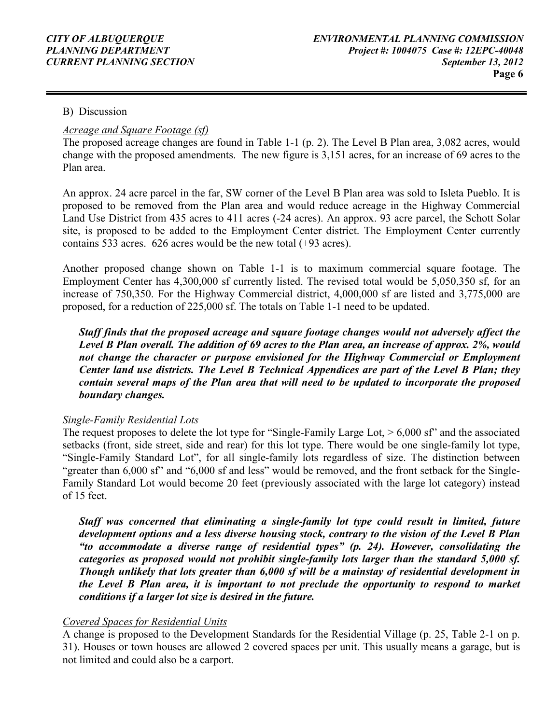#### B) Discussion

#### Acreage and Square Footage (sf)

The proposed acreage changes are found in Table 1-1 (p. 2). The Level B Plan area, 3,082 acres, would change with the proposed amendments. The new figure is 3,151 acres, for an increase of 69 acres to the Plan area.

An approx. 24 acre parcel in the far, SW corner of the Level B Plan area was sold to Isleta Pueblo. It is proposed to be removed from the Plan area and would reduce acreage in the Highway Commercial Land Use District from 435 acres to 411 acres (-24 acres). An approx. 93 acre parcel, the Schott Solar site, is proposed to be added to the Employment Center district. The Employment Center currently contains 533 acres. 626 acres would be the new total (+93 acres).

Another proposed change shown on Table 1-1 is to maximum commercial square footage. The Employment Center has 4,300,000 sf currently listed. The revised total would be 5,050,350 sf, for an increase of 750,350. For the Highway Commercial district, 4,000,000 sf are listed and 3,775,000 are proposed, for a reduction of 225,000 sf. The totals on Table 1-1 need to be updated.

Staff finds that the proposed acreage and square footage changes would not adversely affect the Level B Plan overall. The addition of 69 acres to the Plan area, an increase of approx. 2%, would not change the character or purpose envisioned for the Highway Commercial or Employment Center land use districts. The Level B Technical Appendices are part of the Level B Plan; they contain several maps of the Plan area that will need to be updated to incorporate the proposed boundary changes.

#### Single-Family Residential Lots

The request proposes to delete the lot type for "Single-Family Large Lot,  $> 6,000$  sf" and the associated setbacks (front, side street, side and rear) for this lot type. There would be one single-family lot type, "Single-Family Standard Lot", for all single-family lots regardless of size. The distinction between "greater than 6,000 sf" and "6,000 sf and less" would be removed, and the front setback for the Single-Family Standard Lot would become 20 feet (previously associated with the large lot category) instead of 15 feet.

Staff was concerned that eliminating a single-family lot type could result in limited, future development options and a less diverse housing stock, contrary to the vision of the Level B Plan "to accommodate a diverse range of residential types" (p. 24). However, consolidating the categories as proposed would not prohibit single-family lots larger than the standard 5,000 sf. Though unlikely that lots greater than 6,000 sf will be a mainstay of residential development in the Level B Plan area, it is important to not preclude the opportunity to respond to market conditions if a larger lot size is desired in the future.

#### Covered Spaces for Residential Units

A change is proposed to the Development Standards for the Residential Village (p. 25, Table 2-1 on p. 31). Houses or town houses are allowed 2 covered spaces per unit. This usually means a garage, but is not limited and could also be a carport.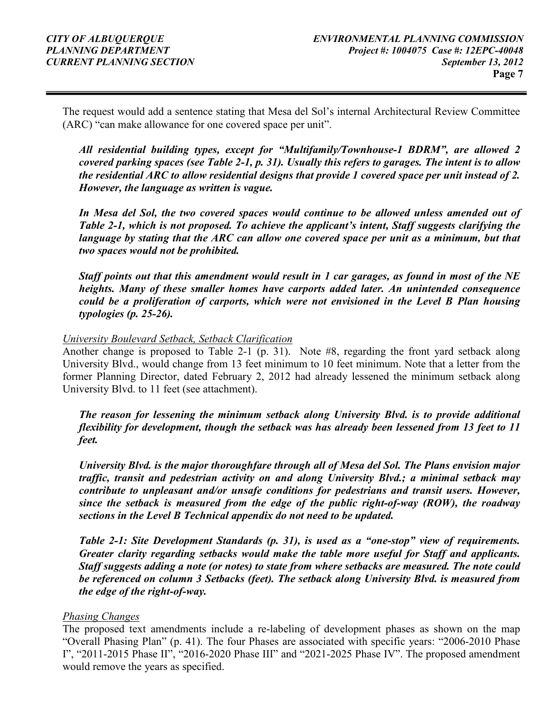The request would add a sentence stating that Mesa del Sol's internal Architectural Review Committee (ARC) "can make allowance for one covered space per unit".

All residential building types, except for "Multifamily/Townhouse-1 BDRM", are allowed 2 covered parking spaces (see Table 2-1, p. 31). Usually this refers to garages. The intent is to allow the residential ARC to allow residential designs that provide 1 covered space per unit instead of 2. However, the language as written is vague.

In Mesa del Sol, the two covered spaces would continue to be allowed unless amended out of Table 2-1, which is not proposed. To achieve the applicant's intent, Staff suggests clarifying the language by stating that the ARC can allow one covered space per unit as a minimum, but that two spaces would not be prohibited.

Staff points out that this amendment would result in 1 car garages, as found in most of the NE heights. Many of these smaller homes have carports added later. An unintended consequence could be a proliferation of carports, which were not envisioned in the Level B Plan housing typologies (p. 25-26).

#### University Boulevard Setback, Setback Clarification

Another change is proposed to Table 2-1 (p. 31). Note #8, regarding the front yard setback along University Blvd., would change from 13 feet minimum to 10 feet minimum. Note that a letter from the former Planning Director, dated February 2, 2012 had already lessened the minimum setback along University Blvd. to 11 feet (see attachment).

The reason for lessening the minimum setback along University Blvd. is to provide additional flexibility for development, though the setback was has already been lessened from 13 feet to 11 feet.

University Blvd. is the major thoroughfare through all of Mesa del Sol. The Plans envision major traffic, transit and pedestrian activity on and along University Blvd.; a minimal setback may contribute to unpleasant and/or unsafe conditions for pedestrians and transit users. However, since the setback is measured from the edge of the public right-of-way (ROW), the roadway sections in the Level B Technical appendix do not need to be updated.

Table 2-1: Site Development Standards (p. 31), is used as a "one-stop" view of requirements. Greater clarity regarding setbacks would make the table more useful for Staff and applicants. Staff suggests adding a note (or notes) to state from where setbacks are measured. The note could be referenced on column 3 Setbacks (feet). The setback along University Blvd. is measured from the edge of the right-of-way.

#### Phasing Changes

The proposed text amendments include a re-labeling of development phases as shown on the map "Overall Phasing Plan" (p. 41). The four Phases are associated with specific years: "2006-2010 Phase I", "2011-2015 Phase II", "2016-2020 Phase III" and "2021-2025 Phase IV". The proposed amendment would remove the years as specified.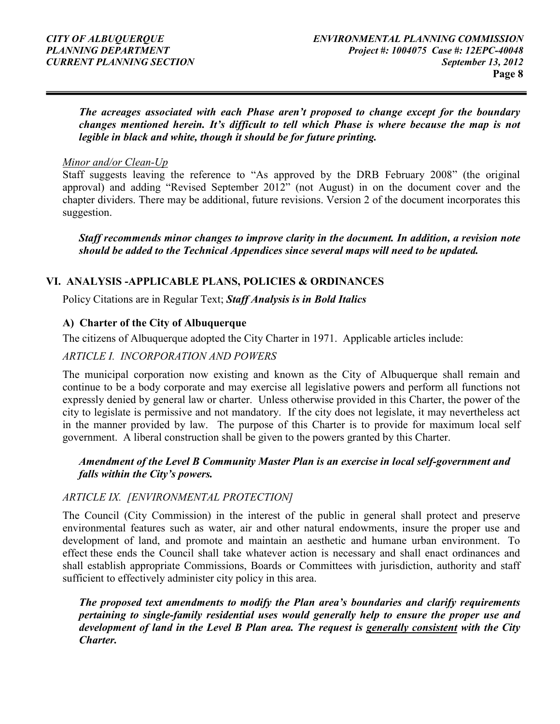The acreages associated with each Phase aren't proposed to change except for the boundary changes mentioned herein. It's difficult to tell which Phase is where because the map is not legible in black and white, though it should be for future printing.

#### Minor and/or Clean-Up

Staff suggests leaving the reference to "As approved by the DRB February 2008" (the original approval) and adding "Revised September 2012" (not August) in on the document cover and the chapter dividers. There may be additional, future revisions. Version 2 of the document incorporates this suggestion.

Staff recommends minor changes to improve clarity in the document. In addition, a revision note should be added to the Technical Appendices since several maps will need to be updated.

#### VI. ANALYSIS -APPLICABLE PLANS, POLICIES & ORDINANCES

Policy Citations are in Regular Text; Staff Analysis is in Bold Italics

#### A) Charter of the City of Albuquerque

The citizens of Albuquerque adopted the City Charter in 1971. Applicable articles include:

#### ARTICLE I. INCORPORATION AND POWERS

The municipal corporation now existing and known as the City of Albuquerque shall remain and continue to be a body corporate and may exercise all legislative powers and perform all functions not expressly denied by general law or charter. Unless otherwise provided in this Charter, the power of the city to legislate is permissive and not mandatory. If the city does not legislate, it may nevertheless act in the manner provided by law. The purpose of this Charter is to provide for maximum local self government. A liberal construction shall be given to the powers granted by this Charter.

#### Amendment of the Level B Community Master Plan is an exercise in local self-government and falls within the City's powers.

#### ARTICLE IX. [ENVIRONMENTAL PROTECTION]

The Council (City Commission) in the interest of the public in general shall protect and preserve environmental features such as water, air and other natural endowments, insure the proper use and development of land, and promote and maintain an aesthetic and humane urban environment. To effect these ends the Council shall take whatever action is necessary and shall enact ordinances and shall establish appropriate Commissions, Boards or Committees with jurisdiction, authority and staff sufficient to effectively administer city policy in this area.

The proposed text amendments to modify the Plan area's boundaries and clarify requirements pertaining to single-family residential uses would generally help to ensure the proper use and development of land in the Level B Plan area. The request is generally consistent with the City Charter.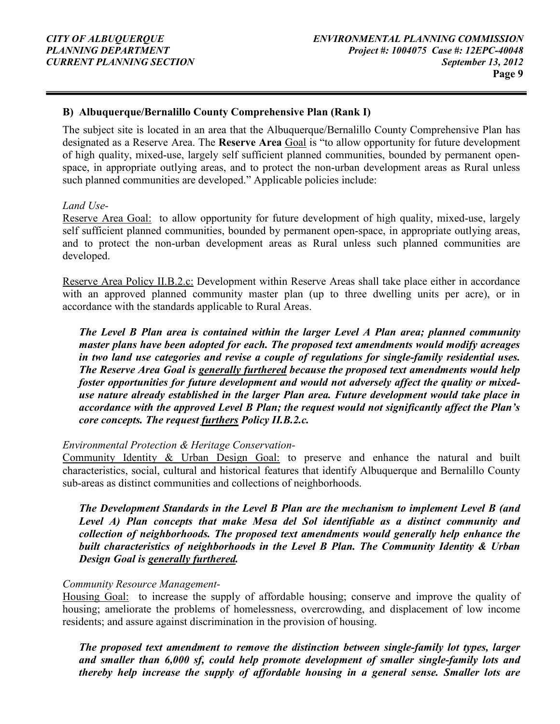#### B) Albuquerque/Bernalillo County Comprehensive Plan (Rank I)

The subject site is located in an area that the Albuquerque/Bernalillo County Comprehensive Plan has designated as a Reserve Area. The Reserve Area Goal is "to allow opportunity for future development of high quality, mixed-use, largely self sufficient planned communities, bounded by permanent openspace, in appropriate outlying areas, and to protect the non-urban development areas as Rural unless such planned communities are developed." Applicable policies include:

#### Land Use-

Reserve Area Goal: to allow opportunity for future development of high quality, mixed-use, largely self sufficient planned communities, bounded by permanent open-space, in appropriate outlying areas, and to protect the non-urban development areas as Rural unless such planned communities are developed.

Reserve Area Policy II.B.2.c: Development within Reserve Areas shall take place either in accordance with an approved planned community master plan (up to three dwelling units per acre), or in accordance with the standards applicable to Rural Areas.

The Level B Plan area is contained within the larger Level A Plan area; planned community master plans have been adopted for each. The proposed text amendments would modify acreages in two land use categories and revise a couple of regulations for single-family residential uses. The Reserve Area Goal is generally furthered because the proposed text amendments would help foster opportunities for future development and would not adversely affect the quality or mixeduse nature already established in the larger Plan area. Future development would take place in accordance with the approved Level B Plan; the request would not significantly affect the Plan's core concepts. The request furthers Policy II.B.2.c.

#### Environmental Protection & Heritage Conservation-

Community Identity & Urban Design Goal: to preserve and enhance the natural and built characteristics, social, cultural and historical features that identify Albuquerque and Bernalillo County sub-areas as distinct communities and collections of neighborhoods.

The Development Standards in the Level B Plan are the mechanism to implement Level B (and Level A) Plan concepts that make Mesa del Sol identifiable as a distinct community and collection of neighborhoods. The proposed text amendments would generally help enhance the built characteristics of neighborhoods in the Level B Plan. The Community Identity & Urban Design Goal is generally furthered.

#### Community Resource Management-

Housing Goal: to increase the supply of affordable housing; conserve and improve the quality of housing; ameliorate the problems of homelessness, overcrowding, and displacement of low income residents; and assure against discrimination in the provision of housing.

The proposed text amendment to remove the distinction between single-family lot types, larger and smaller than 6,000 sf, could help promote development of smaller single-family lots and thereby help increase the supply of affordable housing in a general sense. Smaller lots are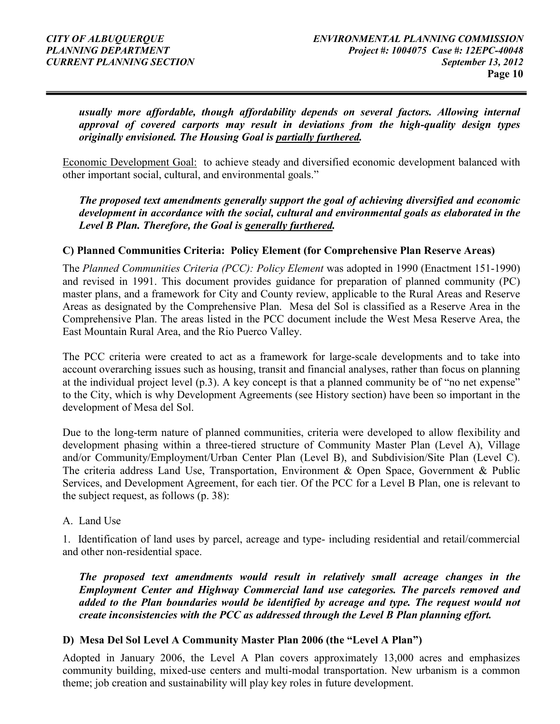usually more affordable, though affordability depends on several factors. Allowing internal approval of covered carports may result in deviations from the high-quality design types originally envisioned. The Housing Goal is partially furthered.

Economic Development Goal: to achieve steady and diversified economic development balanced with other important social, cultural, and environmental goals."

The proposed text amendments generally support the goal of achieving diversified and economic development in accordance with the social, cultural and environmental goals as elaborated in the Level B Plan. Therefore, the Goal is generally furthered.

#### C) Planned Communities Criteria: Policy Element (for Comprehensive Plan Reserve Areas)

The Planned Communities Criteria (PCC): Policy Element was adopted in 1990 (Enactment 151-1990) and revised in 1991. This document provides guidance for preparation of planned community (PC) master plans, and a framework for City and County review, applicable to the Rural Areas and Reserve Areas as designated by the Comprehensive Plan. Mesa del Sol is classified as a Reserve Area in the Comprehensive Plan. The areas listed in the PCC document include the West Mesa Reserve Area, the East Mountain Rural Area, and the Rio Puerco Valley.

The PCC criteria were created to act as a framework for large-scale developments and to take into account overarching issues such as housing, transit and financial analyses, rather than focus on planning at the individual project level (p.3). A key concept is that a planned community be of "no net expense" to the City, which is why Development Agreements (see History section) have been so important in the development of Mesa del Sol.

Due to the long-term nature of planned communities, criteria were developed to allow flexibility and development phasing within a three-tiered structure of Community Master Plan (Level A), Village and/or Community/Employment/Urban Center Plan (Level B), and Subdivision/Site Plan (Level C). The criteria address Land Use, Transportation, Environment & Open Space, Government & Public Services, and Development Agreement, for each tier. Of the PCC for a Level B Plan, one is relevant to the subject request, as follows (p. 38):

#### A. Land Use

1. Identification of land uses by parcel, acreage and type- including residential and retail/commercial and other non-residential space.

The proposed text amendments would result in relatively small acreage changes in the Employment Center and Highway Commercial land use categories. The parcels removed and added to the Plan boundaries would be identified by acreage and type. The request would not create inconsistencies with the PCC as addressed through the Level B Plan planning effort.

#### D) Mesa Del Sol Level A Community Master Plan 2006 (the "Level A Plan")

Adopted in January 2006, the Level A Plan covers approximately 13,000 acres and emphasizes community building, mixed-use centers and multi-modal transportation. New urbanism is a common theme; job creation and sustainability will play key roles in future development.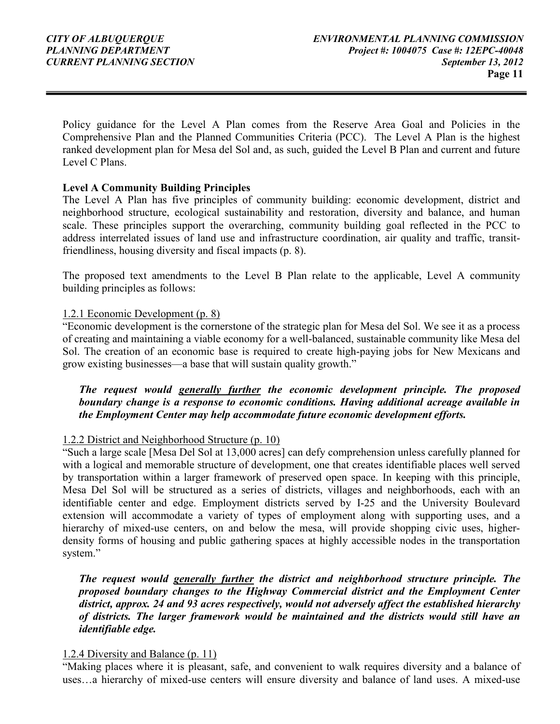Policy guidance for the Level A Plan comes from the Reserve Area Goal and Policies in the Comprehensive Plan and the Planned Communities Criteria (PCC). The Level A Plan is the highest ranked development plan for Mesa del Sol and, as such, guided the Level B Plan and current and future Level C Plans.

#### Level A Community Building Principles

The Level A Plan has five principles of community building: economic development, district and neighborhood structure, ecological sustainability and restoration, diversity and balance, and human scale. These principles support the overarching, community building goal reflected in the PCC to address interrelated issues of land use and infrastructure coordination, air quality and traffic, transitfriendliness, housing diversity and fiscal impacts (p. 8).

The proposed text amendments to the Level B Plan relate to the applicable, Level A community building principles as follows:

#### 1.2.1 Economic Development (p. 8)

"Economic development is the cornerstone of the strategic plan for Mesa del Sol. We see it as a process of creating and maintaining a viable economy for a well-balanced, sustainable community like Mesa del Sol. The creation of an economic base is required to create high-paying jobs for New Mexicans and grow existing businesses—a base that will sustain quality growth."

The request would generally further the economic development principle. The proposed boundary change is a response to economic conditions. Having additional acreage available in the Employment Center may help accommodate future economic development efforts.

#### 1.2.2 District and Neighborhood Structure (p. 10)

"Such a large scale [Mesa Del Sol at 13,000 acres] can defy comprehension unless carefully planned for with a logical and memorable structure of development, one that creates identifiable places well served by transportation within a larger framework of preserved open space. In keeping with this principle, Mesa Del Sol will be structured as a series of districts, villages and neighborhoods, each with an identifiable center and edge. Employment districts served by I-25 and the University Boulevard extension will accommodate a variety of types of employment along with supporting uses, and a hierarchy of mixed-use centers, on and below the mesa, will provide shopping civic uses, higherdensity forms of housing and public gathering spaces at highly accessible nodes in the transportation system."

The request would generally further the district and neighborhood structure principle. The proposed boundary changes to the Highway Commercial district and the Employment Center district, approx. 24 and 93 acres respectively, would not adversely affect the established hierarchy of districts. The larger framework would be maintained and the districts would still have an identifiable edge.

#### 1.2.4 Diversity and Balance (p. 11)

"Making places where it is pleasant, safe, and convenient to walk requires diversity and a balance of uses…a hierarchy of mixed-use centers will ensure diversity and balance of land uses. A mixed-use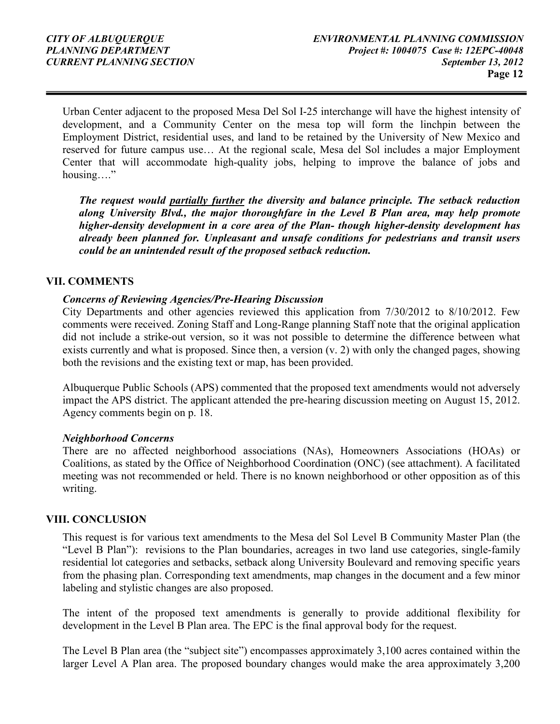Urban Center adjacent to the proposed Mesa Del Sol I-25 interchange will have the highest intensity of development, and a Community Center on the mesa top will form the linchpin between the Employment District, residential uses, and land to be retained by the University of New Mexico and reserved for future campus use… At the regional scale, Mesa del Sol includes a major Employment Center that will accommodate high-quality jobs, helping to improve the balance of jobs and housing…."

The request would partially further the diversity and balance principle. The setback reduction along University Blvd., the major thoroughfare in the Level B Plan area, may help promote higher-density development in a core area of the Plan- though higher-density development has already been planned for. Unpleasant and unsafe conditions for pedestrians and transit users could be an unintended result of the proposed setback reduction.

#### VII. COMMENTS

#### Concerns of Reviewing Agencies/Pre-Hearing Discussion

City Departments and other agencies reviewed this application from 7/30/2012 to 8/10/2012. Few comments were received. Zoning Staff and Long-Range planning Staff note that the original application did not include a strike-out version, so it was not possible to determine the difference between what exists currently and what is proposed. Since then, a version (v. 2) with only the changed pages, showing both the revisions and the existing text or map, has been provided.

Albuquerque Public Schools (APS) commented that the proposed text amendments would not adversely impact the APS district. The applicant attended the pre-hearing discussion meeting on August 15, 2012. Agency comments begin on p. 18.

#### Neighborhood Concerns

There are no affected neighborhood associations (NAs), Homeowners Associations (HOAs) or Coalitions, as stated by the Office of Neighborhood Coordination (ONC) (see attachment). A facilitated meeting was not recommended or held. There is no known neighborhood or other opposition as of this writing.

#### VIII. CONCLUSION

This request is for various text amendments to the Mesa del Sol Level B Community Master Plan (the "Level B Plan"): revisions to the Plan boundaries, acreages in two land use categories, single-family residential lot categories and setbacks, setback along University Boulevard and removing specific years from the phasing plan. Corresponding text amendments, map changes in the document and a few minor labeling and stylistic changes are also proposed.

The intent of the proposed text amendments is generally to provide additional flexibility for development in the Level B Plan area. The EPC is the final approval body for the request.

The Level B Plan area (the "subject site") encompasses approximately 3,100 acres contained within the larger Level A Plan area. The proposed boundary changes would make the area approximately 3,200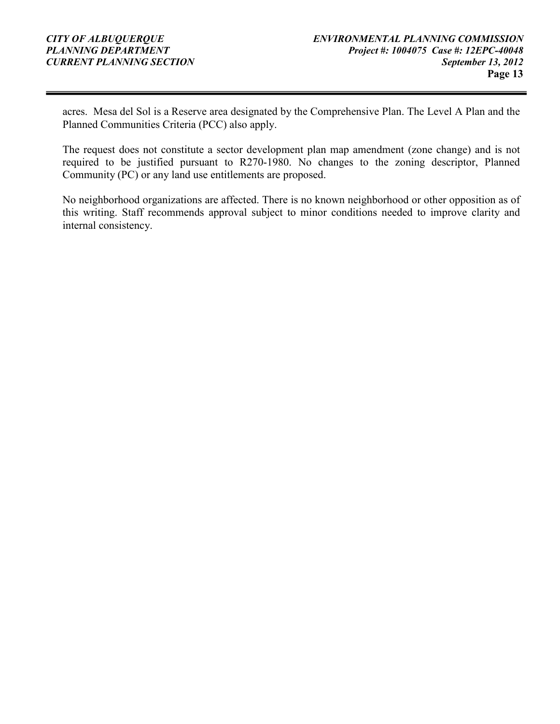acres. Mesa del Sol is a Reserve area designated by the Comprehensive Plan. The Level A Plan and the Planned Communities Criteria (PCC) also apply.

The request does not constitute a sector development plan map amendment (zone change) and is not required to be justified pursuant to R270-1980. No changes to the zoning descriptor, Planned Community (PC) or any land use entitlements are proposed.

No neighborhood organizations are affected. There is no known neighborhood or other opposition as of this writing. Staff recommends approval subject to minor conditions needed to improve clarity and internal consistency.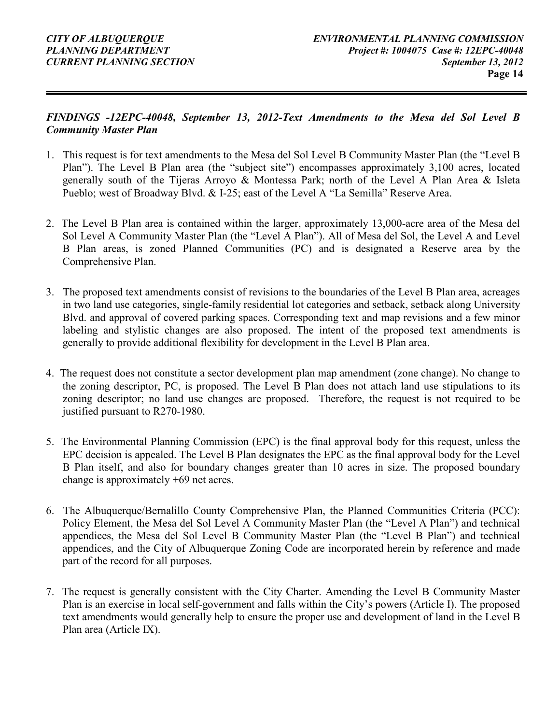#### FINDINGS -12EPC-40048, September 13, 2012-Text Amendments to the Mesa del Sol Level B Community Master Plan

- 1. This request is for text amendments to the Mesa del Sol Level B Community Master Plan (the "Level B Plan"). The Level B Plan area (the "subject site") encompasses approximately 3,100 acres, located generally south of the Tijeras Arroyo & Montessa Park; north of the Level A Plan Area & Isleta Pueblo; west of Broadway Blvd. & I-25; east of the Level A "La Semilla" Reserve Area.
- 2. The Level B Plan area is contained within the larger, approximately 13,000-acre area of the Mesa del Sol Level A Community Master Plan (the "Level A Plan"). All of Mesa del Sol, the Level A and Level B Plan areas, is zoned Planned Communities (PC) and is designated a Reserve area by the Comprehensive Plan.
- 3. The proposed text amendments consist of revisions to the boundaries of the Level B Plan area, acreages in two land use categories, single-family residential lot categories and setback, setback along University Blvd. and approval of covered parking spaces. Corresponding text and map revisions and a few minor labeling and stylistic changes are also proposed. The intent of the proposed text amendments is generally to provide additional flexibility for development in the Level B Plan area.
- 4. The request does not constitute a sector development plan map amendment (zone change). No change to the zoning descriptor, PC, is proposed. The Level B Plan does not attach land use stipulations to its zoning descriptor; no land use changes are proposed. Therefore, the request is not required to be justified pursuant to R270-1980.
- 5. The Environmental Planning Commission (EPC) is the final approval body for this request, unless the EPC decision is appealed. The Level B Plan designates the EPC as the final approval body for the Level B Plan itself, and also for boundary changes greater than 10 acres in size. The proposed boundary change is approximately +69 net acres.
- 6. The Albuquerque/Bernalillo County Comprehensive Plan, the Planned Communities Criteria (PCC): Policy Element, the Mesa del Sol Level A Community Master Plan (the "Level A Plan") and technical appendices, the Mesa del Sol Level B Community Master Plan (the "Level B Plan") and technical appendices, and the City of Albuquerque Zoning Code are incorporated herein by reference and made part of the record for all purposes.
- 7. The request is generally consistent with the City Charter. Amending the Level B Community Master Plan is an exercise in local self-government and falls within the City's powers (Article I). The proposed text amendments would generally help to ensure the proper use and development of land in the Level B Plan area (Article IX).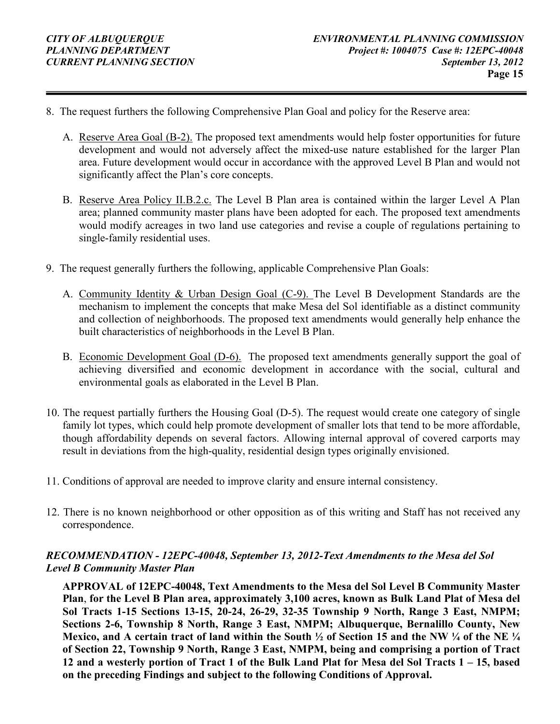- 8. The request furthers the following Comprehensive Plan Goal and policy for the Reserve area:
	- A. Reserve Area Goal (B-2). The proposed text amendments would help foster opportunities for future development and would not adversely affect the mixed-use nature established for the larger Plan area. Future development would occur in accordance with the approved Level B Plan and would not significantly affect the Plan's core concepts.
	- B. Reserve Area Policy II.B.2.c. The Level B Plan area is contained within the larger Level A Plan area; planned community master plans have been adopted for each. The proposed text amendments would modify acreages in two land use categories and revise a couple of regulations pertaining to single-family residential uses.
- 9. The request generally furthers the following, applicable Comprehensive Plan Goals:
	- A. Community Identity & Urban Design Goal (C-9). The Level B Development Standards are the mechanism to implement the concepts that make Mesa del Sol identifiable as a distinct community and collection of neighborhoods. The proposed text amendments would generally help enhance the built characteristics of neighborhoods in the Level B Plan.
	- B. Economic Development Goal (D-6). The proposed text amendments generally support the goal of achieving diversified and economic development in accordance with the social, cultural and environmental goals as elaborated in the Level B Plan.
- 10. The request partially furthers the Housing Goal (D-5). The request would create one category of single family lot types, which could help promote development of smaller lots that tend to be more affordable, though affordability depends on several factors. Allowing internal approval of covered carports may result in deviations from the high-quality, residential design types originally envisioned.
- 11. Conditions of approval are needed to improve clarity and ensure internal consistency.
- 12. There is no known neighborhood or other opposition as of this writing and Staff has not received any correspondence.

#### RECOMMENDATION - 12EPC-40048, September 13, 2012-Text Amendments to the Mesa del Sol Level B Community Master Plan

APPROVAL of 12EPC-40048, Text Amendments to the Mesa del Sol Level B Community Master Plan, for the Level B Plan area, approximately 3,100 acres, known as Bulk Land Plat of Mesa del Sol Tracts 1-15 Sections 13-15, 20-24, 26-29, 32-35 Township 9 North, Range 3 East, NMPM; Sections 2-6, Township 8 North, Range 3 East, NMPM; Albuquerque, Bernalillo County, New Mexico, and A certain tract of land within the South  $\frac{1}{2}$  of Section 15 and the NW  $\frac{1}{4}$  of the NE  $\frac{1}{4}$ of Section 22, Township 9 North, Range 3 East, NMPM, being and comprising a portion of Tract 12 and a westerly portion of Tract 1 of the Bulk Land Plat for Mesa del Sol Tracts 1 – 15, based on the preceding Findings and subject to the following Conditions of Approval.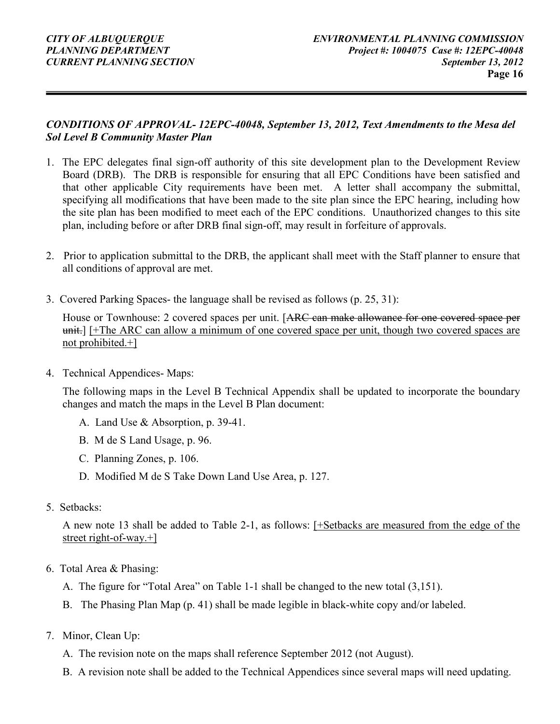#### CONDITIONS OF APPROVAL- 12EPC-40048, September 13, 2012, Text Amendments to the Mesa del Sol Level B Community Master Plan

- 1. The EPC delegates final sign-off authority of this site development plan to the Development Review Board (DRB). The DRB is responsible for ensuring that all EPC Conditions have been satisfied and that other applicable City requirements have been met. A letter shall accompany the submittal, specifying all modifications that have been made to the site plan since the EPC hearing, including how the site plan has been modified to meet each of the EPC conditions. Unauthorized changes to this site plan, including before or after DRB final sign-off, may result in forfeiture of approvals.
- 2. Prior to application submittal to the DRB, the applicant shall meet with the Staff planner to ensure that all conditions of approval are met.
- 3. Covered Parking Spaces- the language shall be revised as follows (p. 25, 31):

House or Townhouse: 2 covered spaces per unit. [ARC can make allowance for one covered space per unit.] [+The ARC can allow a minimum of one covered space per unit, though two covered spaces are not prohibited.+]

4. Technical Appendices- Maps:

The following maps in the Level B Technical Appendix shall be updated to incorporate the boundary changes and match the maps in the Level B Plan document:

- A. Land Use & Absorption, p. 39-41.
- B. M de S Land Usage, p. 96.
- C. Planning Zones, p. 106.
- D. Modified M de S Take Down Land Use Area, p. 127.
- 5. Setbacks:

A new note 13 shall be added to Table 2-1, as follows: [+Setbacks are measured from the edge of the street right-of-way.+]

- 6. Total Area & Phasing:
	- A. The figure for "Total Area" on Table 1-1 shall be changed to the new total (3,151).
	- B. The Phasing Plan Map (p. 41) shall be made legible in black-white copy and/or labeled.
- 7. Minor, Clean Up:
	- A. The revision note on the maps shall reference September 2012 (not August).
	- B. A revision note shall be added to the Technical Appendices since several maps will need updating.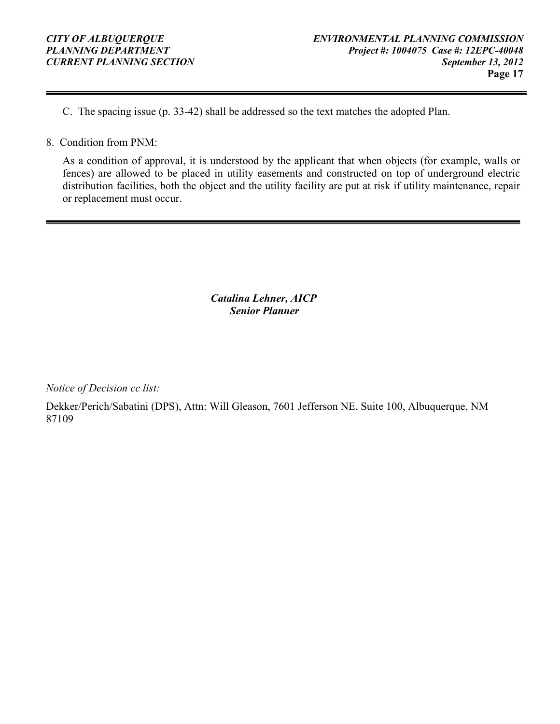C. The spacing issue (p. 33-42) shall be addressed so the text matches the adopted Plan.

#### 8. Condition from PNM:

As a condition of approval, it is understood by the applicant that when objects (for example, walls or fences) are allowed to be placed in utility easements and constructed on top of underground electric distribution facilities, both the object and the utility facility are put at risk if utility maintenance, repair or replacement must occur.

> Catalina Lehner, AICP Senior Planner

Notice of Decision cc list:

Dekker/Perich/Sabatini (DPS), Attn: Will Gleason, 7601 Jefferson NE, Suite 100, Albuquerque, NM 87109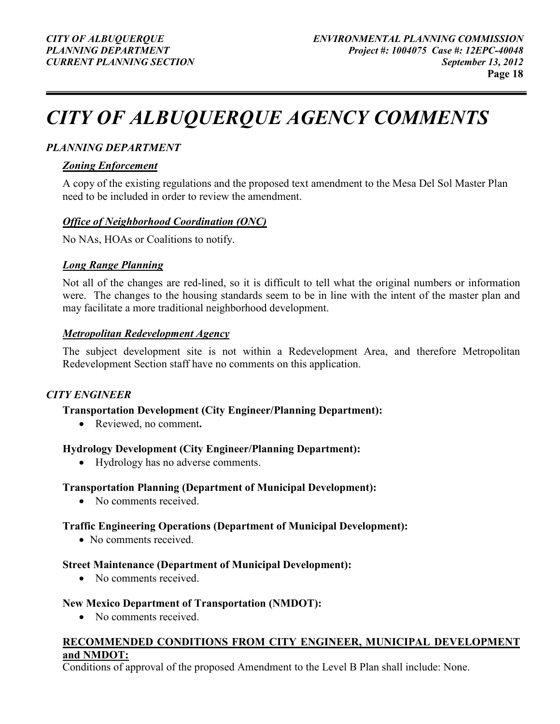# CITY OF ALBUQUERQUE AGENCY COMMENTS

#### PLANNING DEPARTMENT

#### Zoning Enforcement

A copy of the existing regulations and the proposed text amendment to the Mesa Del Sol Master Plan need to be included in order to review the amendment.

#### Office of Neighborhood Coordination (ONC)

No NAs, HOAs or Coalitions to notify.

#### Long Range Planning

Not all of the changes are red-lined, so it is difficult to tell what the original numbers or information were. The changes to the housing standards seem to be in line with the intent of the master plan and may facilitate a more traditional neighborhood development.

#### Metropolitan Redevelopment Agency

The subject development site is not within a Redevelopment Area, and therefore Metropolitan Redevelopment Section staff have no comments on this application.

#### CITY ENGINEER

#### Transportation Development (City Engineer/Planning Department):

• Reviewed, no comment.

#### Hydrology Development (City Engineer/Planning Department):

• Hydrology has no adverse comments.

#### Transportation Planning (Department of Municipal Development):

• No comments received.

#### Traffic Engineering Operations (Department of Municipal Development):

• No comments received.

#### Street Maintenance (Department of Municipal Development):

• No comments received.

#### New Mexico Department of Transportation (NMDOT):

• No comments received.

#### RECOMMENDED CONDITIONS FROM CITY ENGINEER, MUNICIPAL DEVELOPMENT and NMDOT:

Conditions of approval of the proposed Amendment to the Level B Plan shall include: None.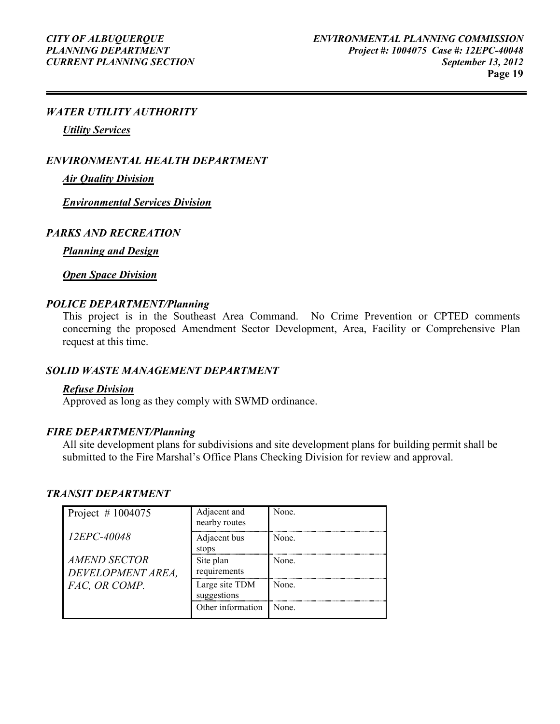#### WATER UTILITY AUTHORITY

Utility Services

ENVIRONMENTAL HEALTH DEPARTMENT

Air Quality Division

Environmental Services Division

#### PARKS AND RECREATION

**Planning and Design** 

**Open Space Division** 

#### POLICE DEPARTMENT/Planning

This project is in the Southeast Area Command. No Crime Prevention or CPTED comments concerning the proposed Amendment Sector Development, Area, Facility or Comprehensive Plan request at this time.

#### SOLID WASTE MANAGEMENT DEPARTMENT

#### Refuse Division

Approved as long as they comply with SWMD ordinance.

#### FIRE DEPARTMENT/Planning

All site development plans for subdivisions and site development plans for building permit shall be submitted to the Fire Marshal's Office Plans Checking Division for review and approval.

#### TRANSIT DEPARTMENT

| Project #1004075                  | Adjacent and<br>nearby routes | None. |
|-----------------------------------|-------------------------------|-------|
| 12EPC-40048                       | Adjacent bus<br>stops         | None  |
| AMEND SECTOR<br>DEVELOPMENT AREA. | Site plan<br>requirements     | None  |
| FAC, OR COMP.                     | Large site TDM<br>suggestions | None  |
|                                   | Other information             | None  |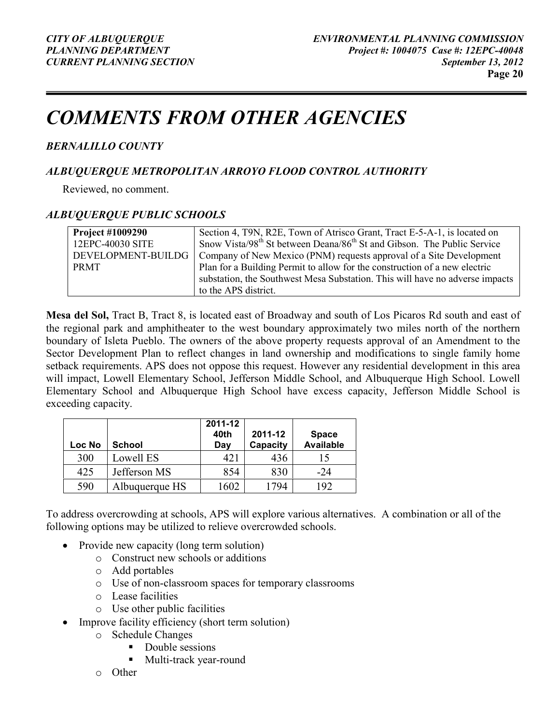## COMMENTS FROM OTHER AGENCIES

### BERNALILLO COUNTY

#### ALBUQUERQUE METROPOLITAN ARROYO FLOOD CONTROL AUTHORITY

Reviewed, no comment.

#### ALBUQUERQUE PUBLIC SCHOOLS

| <b>Project #1009290</b> | Section 4, T9N, R2E, Town of Atrisco Grant, Tract E-5-A-1, is located on                        |
|-------------------------|-------------------------------------------------------------------------------------------------|
| 12EPC-40030 SITE        | Snow Vista/98 <sup>th</sup> St between Deana/86 <sup>th</sup> St and Gibson. The Public Service |
| DEVELOPMENT-BUILDG      | Company of New Mexico (PNM) requests approval of a Site Development                             |
| <b>PRMT</b>             | Plan for a Building Permit to allow for the construction of a new electric                      |
|                         | substation, the Southwest Mesa Substation. This will have no adverse impacts                    |
|                         | to the APS district.                                                                            |

Mesa del Sol, Tract B, Tract 8, is located east of Broadway and south of Los Picaros Rd south and east of the regional park and amphitheater to the west boundary approximately two miles north of the northern boundary of Isleta Pueblo. The owners of the above property requests approval of an Amendment to the Sector Development Plan to reflect changes in land ownership and modifications to single family home setback requirements. APS does not oppose this request. However any residential development in this area will impact, Lowell Elementary School, Jefferson Middle School, and Albuquerque High School. Lowell Elementary School and Albuquerque High School have excess capacity, Jefferson Middle School is exceeding capacity.

| Loc No | <b>School</b>  | 2011-12<br>40th<br>Day | 2011-12<br>Capacity | <b>Space</b><br>Available |
|--------|----------------|------------------------|---------------------|---------------------------|
| 300    | Lowell ES      | 421                    | 436                 |                           |
| 425    | Jefferson MS   | 854                    | 830                 | $-24$                     |
| 590    | Albuquerque HS | 1602                   | 794                 | 192                       |

To address overcrowding at schools, APS will explore various alternatives. A combination or all of the following options may be utilized to relieve overcrowded schools.

- Provide new capacity (long term solution)
	- o Construct new schools or additions
	- o Add portables
	- o Use of non-classroom spaces for temporary classrooms
	- o Lease facilities
	- o Use other public facilities
- Improve facility efficiency (short term solution)
	- o Schedule Changes
		- Double sessions
		- Multi-track year-round
	- o Other